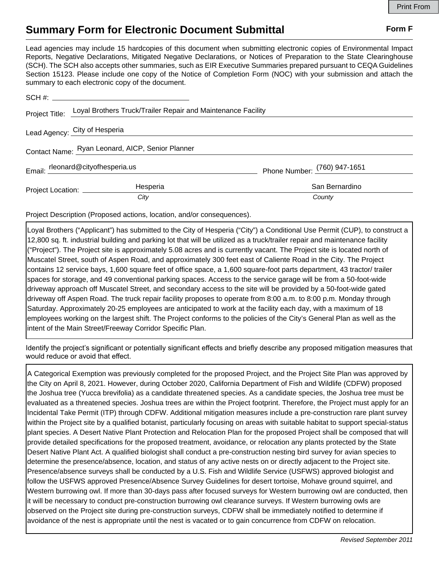## **Summary Form for Electronic Document Submittal Form F Form F**

Lead agencies may include 15 hardcopies of this document when submitting electronic copies of Environmental Impact Reports, Negative Declarations, Mitigated Negative Declarations, or Notices of Preparation to the State Clearinghouse (SCH). The SCH also accepts other summaries, such as EIR Executive Summaries prepared pursuant to CEQA Guidelines Section 15123. Please include one copy of the Notice of Completion Form (NOC) with your submission and attach the summary to each electronic copy of the document.

|                                                  | Project Title: Loyal Brothers Truck/Trailer Repair and Maintenance Facility |                              |
|--------------------------------------------------|-----------------------------------------------------------------------------|------------------------------|
| Lead Agency: City of Hesperia                    |                                                                             |                              |
| Contact Name: Ryan Leonard, AICP, Senior Planner |                                                                             |                              |
| Email: rleonard@cityofhesperia.us                |                                                                             | Phone Number: (760) 947-1651 |
| Project Location: __________                     | Hesperia                                                                    | San Bernardino               |
|                                                  | City                                                                        | County                       |

Project Description (Proposed actions, location, and/or consequences).

Loyal Brothers ("Applicant") has submitted to the City of Hesperia ("City") a Conditional Use Permit (CUP), to construct a 12,800 sq. ft. industrial building and parking lot that will be utilized as a truck/trailer repair and maintenance facility ("Project"). The Project site is approximately 5.08 acres and is currently vacant. The Project site is located north of Muscatel Street, south of Aspen Road, and approximately 300 feet east of Caliente Road in the City. The Project contains 12 service bays, 1,600 square feet of office space, a 1,600 square-foot parts department, 43 tractor/ trailer spaces for storage, and 49 conventional parking spaces. Access to the service garage will be from a 50-foot-wide driveway approach off Muscatel Street, and secondary access to the site will be provided by a 50-foot-wide gated driveway off Aspen Road. The truck repair facility proposes to operate from 8:00 a.m. to 8:00 p.m. Monday through Saturday. Approximately 20-25 employees are anticipated to work at the facility each day, with a maximum of 18 employees working on the largest shift. The Project conforms to the policies of the City's General Plan as well as the intent of the Main Street/Freeway Corridor Specific Plan.

Identify the project's significant or potentially significant effects and briefly describe any proposed mitigation measures that would reduce or avoid that effect.

A Categorical Exemption was previously completed for the proposed Project, and the Project Site Plan was approved by the City on April 8, 2021. However, during October 2020, California Department of Fish and Wildlife (CDFW) proposed the Joshua tree (Yucca brevifolia) as a candidate threatened species. As a candidate species, the Joshua tree must be evaluated as a threatened species. Joshua trees are within the Project footprint. Therefore, the Project must apply for an Incidental Take Permit (ITP) through CDFW. Additional mitigation measures include a pre-construction rare plant survey within the Project site by a qualified botanist, particularly focusing on areas with suitable habitat to support special-status plant species. A Desert Native Plant Protection and Relocation Plan for the proposed Project shall be composed that will provide detailed specifications for the proposed treatment, avoidance, or relocation any plants protected by the State Desert Native Plant Act. A qualified biologist shall conduct a pre-construction nesting bird survey for avian species to determine the presence/absence, location, and status of any active nests on or directly adjacent to the Project site. Presence/absence surveys shall be conducted by a U.S. Fish and Wildlife Service (USFWS) approved biologist and follow the USFWS approved Presence/Absence Survey Guidelines for desert tortoise, Mohave ground squirrel, and Western burrowing owl. If more than 30-days pass after focused surveys for Western burrowing owl are conducted, then it will be necessary to conduct pre-construction burrowing owl clearance surveys. If Western burrowing owls are observed on the Project site during pre-construction surveys, CDFW shall be immediately notified to determine if avoidance of the nest is appropriate until the nest is vacated or to gain concurrence from CDFW on relocation.